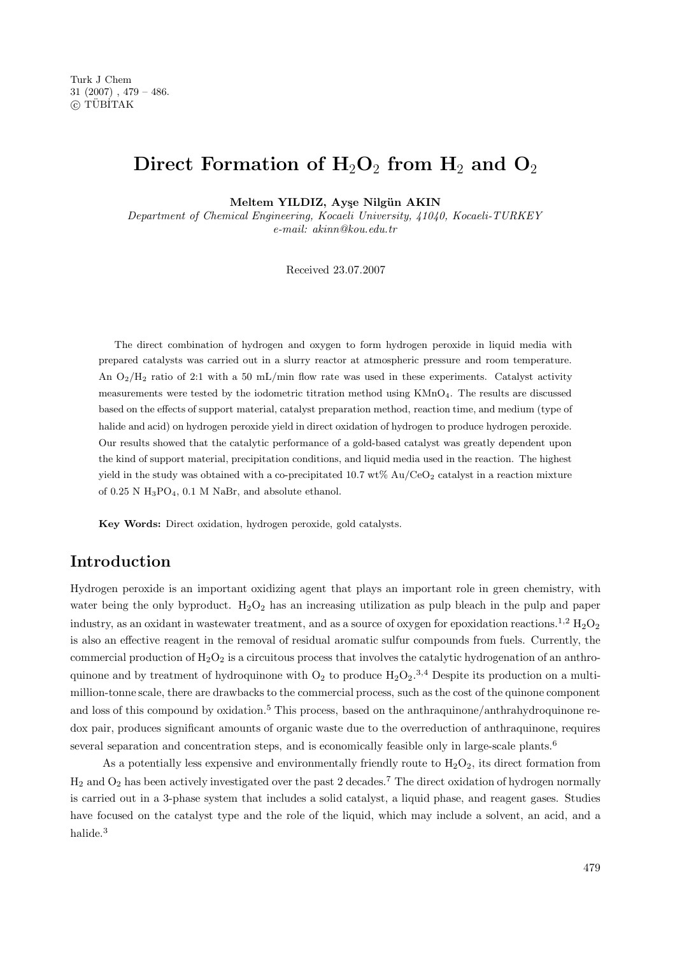# **Direct Formation of H**2**O**<sup>2</sup> **from H**<sup>2</sup> **and O**<sup>2</sup>

**Meltem YILDIZ, Ay¸se Nilg¨un AKIN**

Department of Chemical Engineering, Kocaeli University, 41040, Kocaeli-TURKEY e-mail: akinn@kou.edu.tr

Received 23.07.2007

The direct combination of hydrogen and oxygen to form hydrogen peroxide in liquid media with prepared catalysts was carried out in a slurry reactor at atmospheric pressure and room temperature. An  $O_2/H_2$  ratio of 2:1 with a 50 mL/min flow rate was used in these experiments. Catalyst activity measurements were tested by the iodometric titration method using KMnO<sub>4</sub>. The results are discussed based on the effects of support material, catalyst preparation method, reaction time, and medium (type of halide and acid) on hydrogen peroxide yield in direct oxidation of hydrogen to produce hydrogen peroxide. Our results showed that the catalytic performance of a gold-based catalyst was greatly dependent upon the kind of support material, precipitation conditions, and liquid media used in the reaction. The highest yield in the study was obtained with a co-precipitated  $10.7 \text{ wt\%}$  Au/CeO<sub>2</sub> catalyst in a reaction mixture of  $0.25$  N  $H_3PO_4$ ,  $0.1$  M NaBr, and absolute ethanol.

**Key Words:** Direct oxidation, hydrogen peroxide, gold catalysts.

### **Introduction**

Hydrogen peroxide is an important oxidizing agent that plays an important role in green chemistry, with water being the only byproduct.  $H_2O_2$  has an increasing utilization as pulp bleach in the pulp and paper industry, as an oxidant in wastewater treatment, and as a source of oxygen for epoxidation reactions.<sup>1,2</sup>  $\rm H_2O_2$ is also an effective reagent in the removal of residual aromatic sulfur compounds from fuels. Currently, the commercial production of  $H_2O_2$  is a circuitous process that involves the catalytic hydrogenation of an anthroquinone and by treatment of hydroquinone with  $O_2$  to produce  $H_2O_2$ .<sup>3,4</sup> Despite its production on a multimillion-tonne scale, there are drawbacks to the commercial process, such as the cost ofthe quinone component and loss of this compound by oxidation.<sup>5</sup> This process, based on the anthraquinone/anthrahydroquinone redox pair, produces significant amounts of organic waste due to the overreduction of anthraquinone, requires several separation and concentration steps, and is economically feasible only in large-scale plants.<sup>6</sup>

As a potentially less expensive and environmentally friendly route to  $H_2O_2$ , its direct formation from  $H_2$  and  $O_2$  has been actively investigated over the past 2 decades.<sup>7</sup> The direct oxidation of hydrogen normally is carried out in a 3-phase system that includes a solid catalyst, a liquid phase, and reagent gases. Studies have focused on the catalyst type and the role of the liquid, which may include a solvent, an acid, and a halide.<sup>3</sup>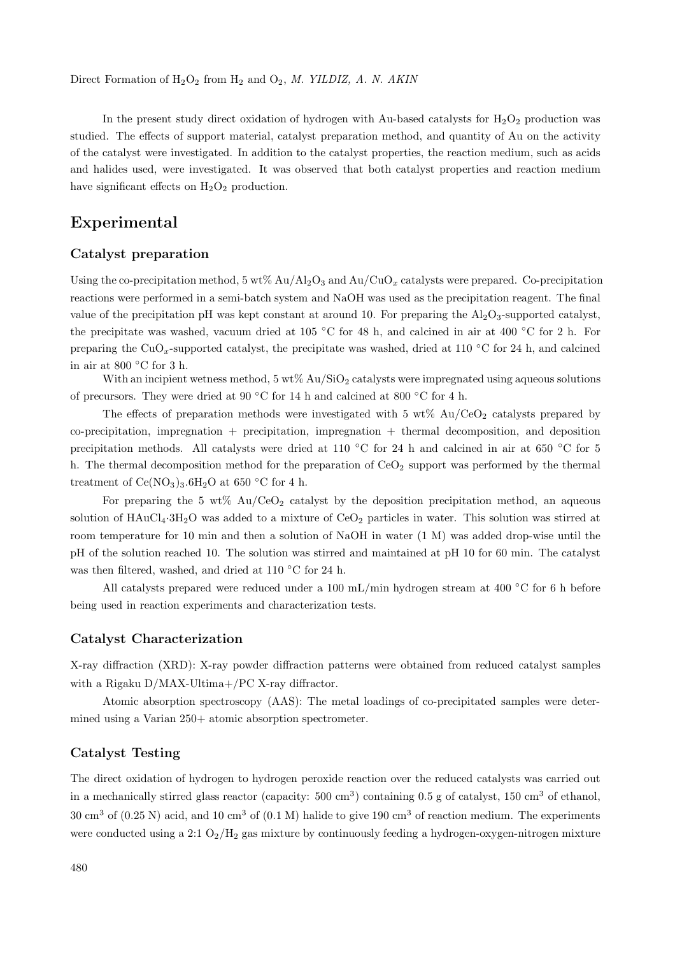In the present study direct oxidation of hydrogen with Au-based catalysts for  $H_2O_2$  production was studied. The effects of support material, catalyst preparation method, and quantity of Au on the activity ofthe catalyst were investigated. In addition to the catalyst properties, the reaction medium, such as acids and halides used, were investigated. It was observed that both catalyst properties and reaction medium have significant effects on  $H_2O_2$  production.

### **Experimental**

#### **Catalyst preparation**

Using the co-precipitation method,  $5 \text{ wt}$ % Au/Al<sub>2</sub>O<sub>3</sub> and Au/CuO<sub>x</sub> catalysts were prepared. Co-precipitation reactions were performed in a semi-batch system and NaOH was used as the precipitation reagent. The final value of the precipitation pH was kept constant at around 10. For preparing the  $Al_2O_3$ -supported catalyst, the precipitate was washed, vacuum dried at 105 °C for 48 h, and calcined in air at 400 °C for 2 h. For preparing the CuO<sub>x</sub>-supported catalyst, the precipitate was washed, dried at 110 °C for 24 h, and calcined in air at 800  $\,^{\circ}$ C for 3 h.

With an incipient wetness method,  $5 \text{ wt} \% \text{ Au/SiO}_2$  catalysts were impregnated using aqueous solutions of precursors. They were dried at 90 °C for 14 h and calcined at 800 °C for 4 h.

The effects of preparation methods were investigated with 5 wt%  $Au/CeO<sub>2</sub>$  catalysts prepared by  $co-precipitation$ , impregnation  $+$  precipitation, impregnation  $+$  thermal decomposition, and deposition precipitation methods. All catalysts were dried at 110 °C for 24 h and calcined in air at 650 °C for 5 h. The thermal decomposition method for the preparation of  $CeO<sub>2</sub>$  support was performed by the thermal treatment of  $Ce(NO<sub>3</sub>)<sub>3</sub>.6H<sub>2</sub>O$  at 650 °C for 4 h.

For preparing the 5 wt%  $Au/CeO<sub>2</sub>$  catalyst by the deposition precipitation method, an aqueous solution of  $HAuCl_4·3H_2O$  was added to a mixture of  $CeO_2$  particles in water. This solution was stirred at room temperature for 10 min and then a solution of NaOH in water (1 M) was added drop-wise until the pH of the solution reached 10. The solution was stirred and maintained at pH 10 for 60 min. The catalyst was then filtered, washed, and dried at 110 ◦C for 24 h.

All catalysts prepared were reduced under a 100 mL/min hydrogen stream at 400 ◦C for 6 h before being used in reaction experiments and characterization tests.

#### **Catalyst Characterization**

X-ray diffraction (XRD): X-ray powder diffraction patterns were obtained from reduced catalyst samples with a Rigaku D/MAX-Ultima+/PC X-ray diffractor.

Atomic absorption spectroscopy (AAS): The metal loadings of co-precipitated samples were determined using a Varian 250+ atomic absorption spectrometer.

#### **Catalyst Testing**

The direct oxidation of hydrogen to hydrogen peroxide reaction over the reduced catalysts was carried out in a mechanically stirred glass reactor (capacity:  $500 \text{ cm}^3$ ) containing 0.5 g of catalyst, 150 cm<sup>3</sup> of ethanol, 30 cm<sup>3</sup> of (0.25 N) acid, and 10 cm<sup>3</sup> of (0.1 M) halide to give 190 cm<sup>3</sup> of reaction medium. The experiments were conducted using a 2:1  $O_2/H_2$  gas mixture by continuously feeding a hydrogen-oxygen-nitrogen mixture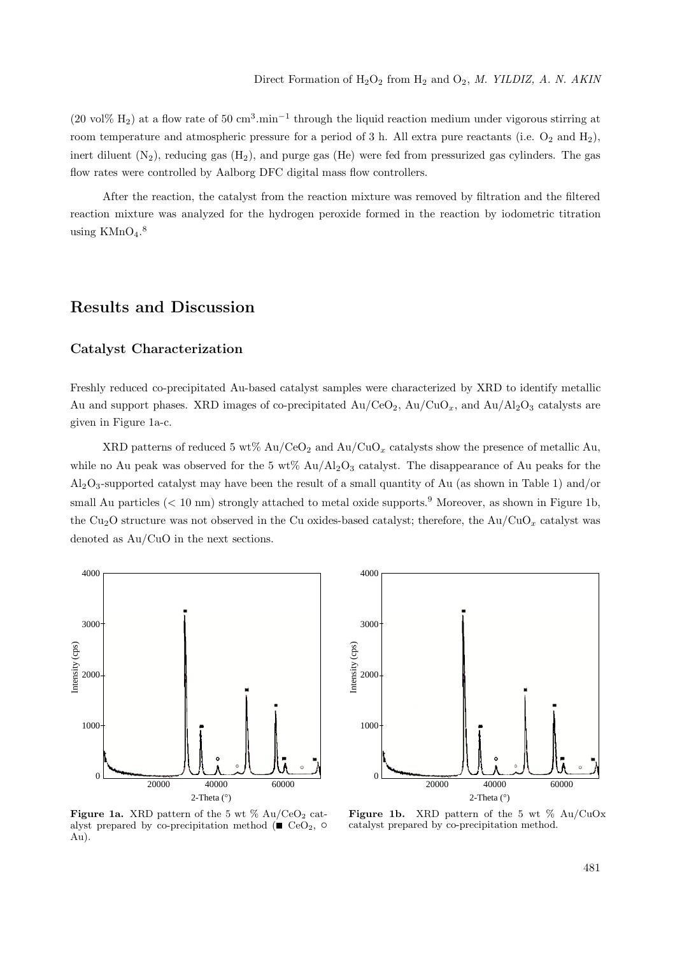(20 vol% H<sub>2</sub>) at a flow rate of 50 cm<sup>3</sup>.min<sup>-1</sup> through the liquid reaction medium under vigorous stirring at room temperature and atmospheric pressure for a period of 3 h. All extra pure reactants (i.e.  $O_2$  and  $H_2$ ), inert diluent  $(N_2)$ , reducing gas  $(H_2)$ , and purge gas  $(H_e)$  were fed from pressurized gas cylinders. The gas flow rates were controlled by Aalborg DFC digital mass flow controllers.

After the reaction, the catalyst from the reaction mixture was removed by filtration and the filtered reaction mixture was analyzed for the hydrogen peroxide formed in the reaction by iodometric titration using  $\text{KMnO}_4$ .<sup>8</sup>

### **Results and Discussion**

#### **Catalyst Characterization**

Freshly reduced co-precipitated Au-based catalyst samples were characterized by XRD to identify metallic Au and support phases. XRD images of co-precipitated  $Au/CeO<sub>2</sub>$ ,  $Au/CuO<sub>x</sub>$ , and  $Au/Al<sub>2</sub>O<sub>3</sub>$  catalysts are given in Figure 1a-c.

XRD patterns of reduced 5 wt%  $Au/CeO<sub>2</sub>$  and  $Au/CuO<sub>x</sub>$  catalysts show the presence of metallic Au, while no Au peak was observed for the 5 wt%  $Au/Al_2O_3$  catalyst. The disappearance of Au peaks for the  $\rm Al_2O_3$ -supported catalyst may have been the result of a small quantity of Au (as shown in Table 1) and/or small Au particles (< 10 nm) strongly attached to metal oxide supports.<sup>9</sup> Moreover, as shown in Figure 1b, the Cu2O structure was not observed in the Cu oxides-based catalyst; therefore, the Au/CuO*<sup>x</sup>* catalyst was denoted as Au/CuO in the next sections.





**Figure 1a.** XRD pattern of the 5 wt  $\%$  Au/CeO<sub>2</sub> catalyst prepared by co-precipitation method ( $\blacksquare$  CeO<sub>2</sub>,  $\circ$ Au).

Figure 1b. XRD pattern of the 5 wt % Au/CuOx catalyst prepared by co-precipitation method.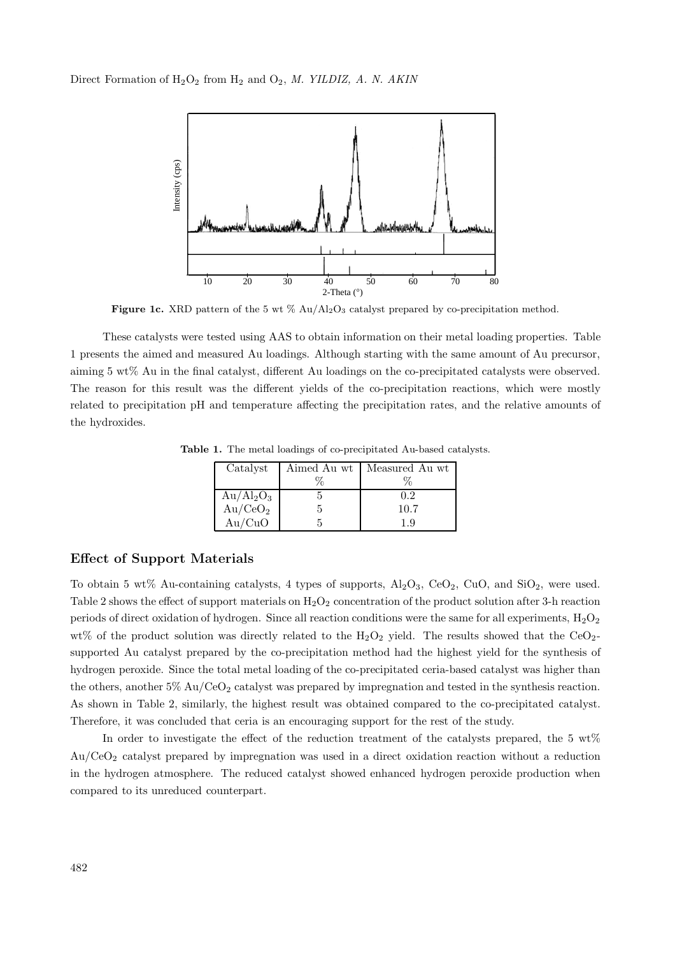

**Figure 1c.** XRD pattern of the 5 wt % Au/Al<sub>2</sub>O<sub>3</sub> catalyst prepared by co-precipitation method.

These catalysts were tested using AAS to obtain information on their metal loading properties. Table 1 presents the aimed and measured Au loadings. Although starting with the same amount ofAu precursor, aiming 5 wt% Au in the final catalyst, different Au loadings on the co-precipitated catalysts were observed. The reason for this result was the different yields of the co-precipitation reactions, which were mostly related to precipitation pH and temperature affecting the precipitation rates, and the relative amounts of the hydroxides.

| Catalyst                                           |      | Aimed Au wt   Measured Au wt |
|----------------------------------------------------|------|------------------------------|
|                                                    | $\%$ |                              |
| $\overline{\mathrm{Au}}/\mathrm{Al}_2\mathrm{O}_3$ |      | 0.2                          |
| Au/CeO <sub>2</sub>                                |      | 10.7                         |
| Au/CuO                                             |      | 19                           |

**Table 1.** The metal loadings of co-precipitated Au-based catalysts.

#### **Effect of Support Materials**

To obtain 5 wt% Au-containing catalysts, 4 types of supports,  $\text{Al}_2\text{O}_3$ ,  $\text{CeO}_2$ ,  $\text{CuO}$ , and  $\text{SiO}_2$ , were used. Table 2 shows the effect of support materials on  $H_2O_2$  concentration of the product solution after 3-h reaction periods of direct oxidation of hydrogen. Since all reaction conditions were the same for all experiments,  $H_2O_2$ wt% of the product solution was directly related to the  $H_2O_2$  yield. The results showed that the CeO<sub>2</sub>supported Au catalyst prepared by the co-precipitation method had the highest yield for the synthesis of hydrogen peroxide. Since the total metal loading of the co-precipitated ceria-based catalyst was higher than the others, another  $5\%$  Au/CeO<sub>2</sub> catalyst was prepared by impregnation and tested in the synthesis reaction. As shown in Table 2, similarly, the highest result was obtained compared to the co-precipitated catalyst. Therefore, it was concluded that ceria is an encouraging support for the rest of the study.

In order to investigate the effect of the reduction treatment of the catalysts prepared, the 5  $\text{wt}\%$ Au/CeO<sup>2</sup> catalyst prepared by impregnation was used in a direct oxidation reaction without a reduction in the hydrogen atmosphere. The reduced catalyst showed enhanced hydrogen peroxide production when compared to its unreduced counterpart.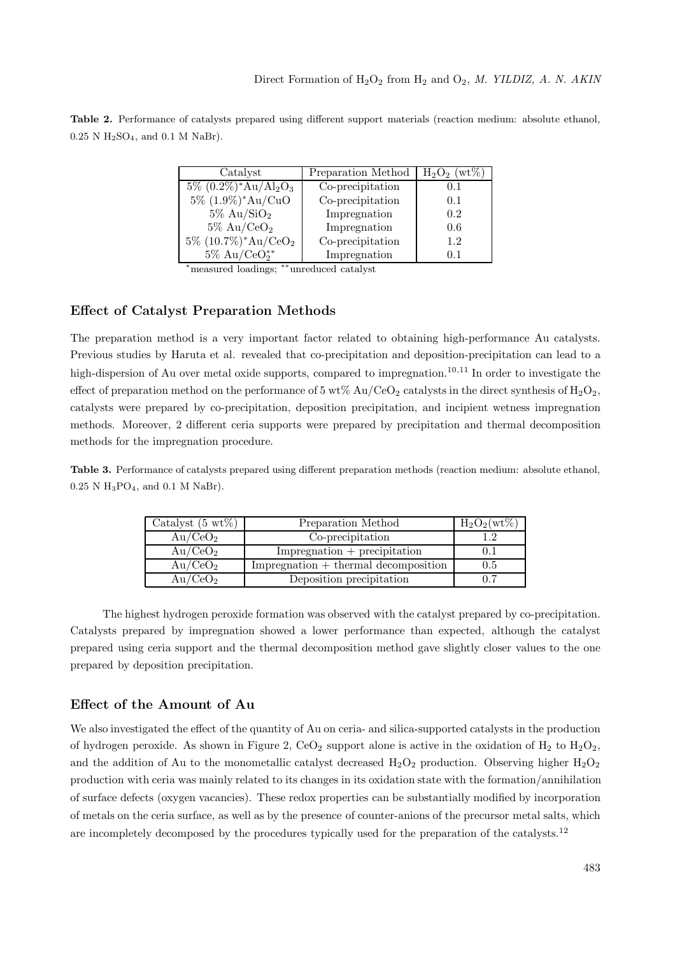| Table 2. Performance of catalysts prepared using different support materials (reaction medium: absolute ethanol, |  |  |  |  |  |
|------------------------------------------------------------------------------------------------------------------|--|--|--|--|--|
| $0.25$ N H <sub>2</sub> SO <sub>4</sub> , and 0.1 M NaBr).                                                       |  |  |  |  |  |

| Catalyst                                            | Preparation Method | $H_2O_2$ (wt%) |
|-----------------------------------------------------|--------------------|----------------|
| $5\%$ $(0.2\%)^*$ Au/Al <sub>2</sub> O <sub>3</sub> | Co-precipitation   | 0.1            |
| $5\%$ $(1.9\%)^*Au/CuO$                             | Co-precipitation   | 0.1            |
| $5\%$ Au/SiO <sub>2</sub>                           | Impregnation       | 0.2            |
| $5\%$ Au/CeO <sub>2</sub>                           | Impregnation       | 0.6            |
| $5\%$ $(10.7\%)^*Au/CeO_2$                          | Co-precipitation   | 1.2            |
| $5\%$ Au/CeO <sup>**</sup>                          | Impregnation       | 0.1            |

<sup>∗</sup>measured loadings; <sup>∗∗</sup>unreduced catalyst

#### **Effect of Catalyst Preparation Methods**

The preparation method is a very important factor related to obtaining high-performance Au catalysts. Previous studies by Haruta et al. revealed that co-precipitation and deposition-precipitation can lead to a high-dispersion of Au over metal oxide supports, compared to impregnation.<sup>10,11</sup> In order to investigate the effect of preparation method on the performance of 5 wt% Au/CeO<sub>2</sub> catalysts in the direct synthesis of  $H_2O_2$ , catalysts were prepared by co-precipitation, deposition precipitation, and incipient wetness impregnation methods. Moreover, 2 different ceria supports were prepared by precipitation and thermal decomposition methods for the impregnation procedure.

**Table 3.** Performance of catalysts prepared using different preparation methods (reaction medium: absolute ethanol, 0.25 N H3PO4, and 0.1 M NaBr).

| Catalyst $(5 \text{ wt})$ | Preparation Method                                       | $H_2O_2(wt\%)$ |
|---------------------------|----------------------------------------------------------|----------------|
| Au/CeO <sub>2</sub>       | Co-precipitation                                         |                |
| Au/CeO <sub>2</sub>       | $Impreg$ and $+$ precipitation                           |                |
| Au/CeO <sub>2</sub>       | $Impreg$ and $\ddot{\mathbf{r}}$ + thermal decomposition | $0.5\,$        |
| Au/CeO <sub>2</sub>       | Deposition precipitation                                 | 0.7            |

The highest hydrogen peroxide formation was observed with the catalyst prepared by co-precipitation. Catalysts prepared by impregnation showed a lower performance than expected, although the catalyst prepared using ceria support and the thermal decomposition method gave slightly closer values to the one prepared by deposition precipitation.

#### **Effect of the Amount of Au**

We also investigated the effect of the quantity of Au on ceria- and silica-supported catalysts in the production of hydrogen peroxide. As shown in Figure 2,  $CeO<sub>2</sub>$  support alone is active in the oxidation of  $H<sub>2</sub>$  to  $H<sub>2</sub>O<sub>2</sub>$ , and the addition of Au to the monometallic catalyst decreased  $H_2O_2$  production. Observing higher  $H_2O_2$ production with ceria was mainly related to its changes in its oxidation state with the formation/annihilation of surface defects (oxygen vacancies). These redox properties can be substantially modified by incorporation of metals on the ceria surface, as well as by the presence of counter-anions of the precursor metal salts, which are incompletely decomposed by the procedures typically used for the preparation of the catalysts.<sup>12</sup>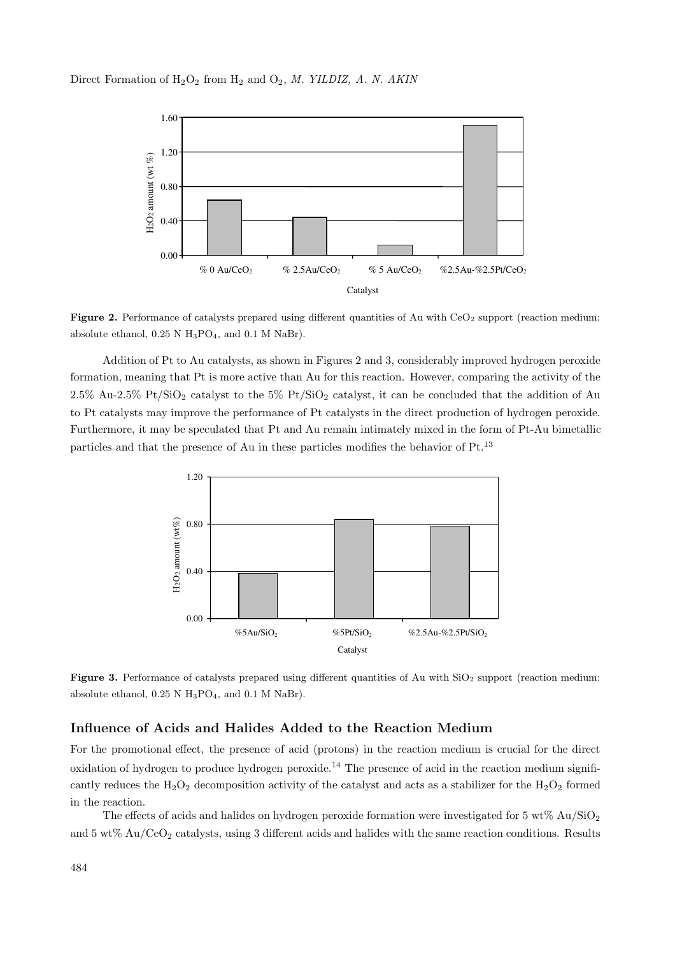

**Figure 2.** Performance of catalysts prepared using different quantities of Au with CeO<sub>2</sub> support (reaction medium: absolute ethanol,  $0.25$  N H<sub>3</sub>PO<sub>4</sub>, and  $0.1$  M NaBr).

Addition of Pt to Au catalysts, as shown in Figures 2 and 3, considerably improved hydrogen peroxide formation, meaning that Pt is more active than Au for this reaction. However, comparing the activity of the 2.5% Au-2.5% Pt/SiO<sub>2</sub> catalyst to the 5% Pt/SiO<sub>2</sub> catalyst, it can be concluded that the addition of Au to Pt catalysts may improve the performance of Pt catalysts in the direct production of hydrogen peroxide. Furthermore, it may be speculated that Pt and Au remain intimately mixed in the form of Pt-Au bimetallic particles and that the presence of Au in these particles modifies the behavior of  $Pt^{13}$ 



**Figure 3.** Performance of catalysts prepared using different quantities of Au with SiO<sub>2</sub> support (reaction medium: absolute ethanol,  $0.25$  N H<sub>3</sub>PO<sub>4</sub>, and  $0.1$  M NaBr).

### **Influence of Acids and Halides Added to the Reaction Medium**

For the promotional effect, the presence of acid (protons) in the reaction medium is crucial for the direct oxidation of hydrogen to produce hydrogen peroxide.<sup>14</sup> The presence of acid in the reaction medium significantly reduces the  $H_2O_2$  decomposition activity of the catalyst and acts as a stabilizer for the  $H_2O_2$  formed in the reaction.

The effects of acids and halides on hydrogen peroxide formation were investigated for  $5 \text{ wt\% Au/SiO}_2$ and  $5 \text{ wt}\%$  Au/CeO<sub>2</sub> catalysts, using 3 different acids and halides with the same reaction conditions. Results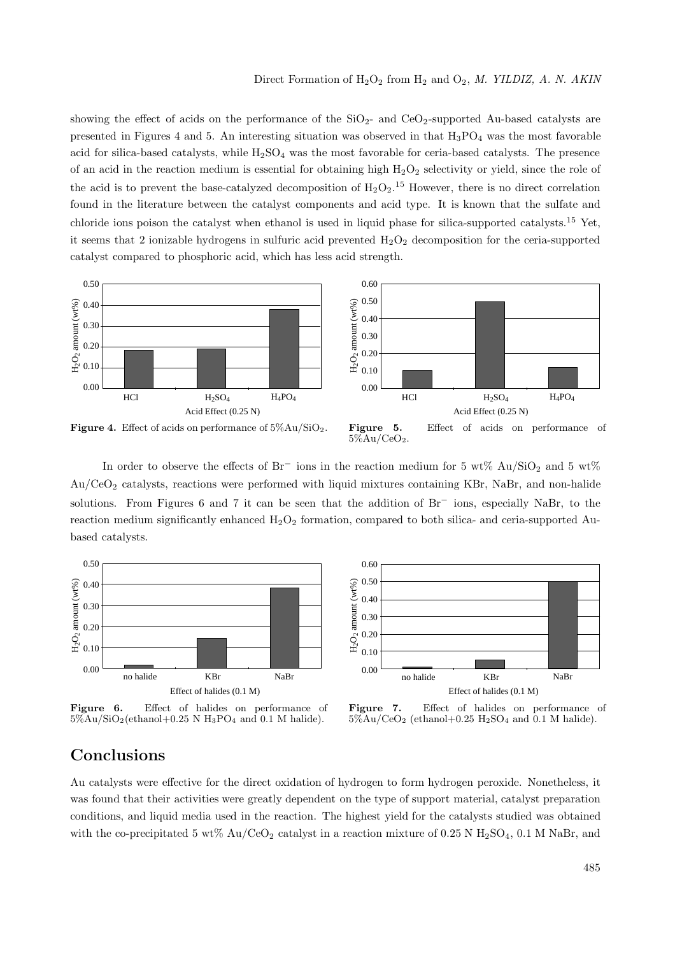showing the effect of acids on the performance of the  $SiO<sub>2</sub>$ - and  $CeO<sub>2</sub>$ -supported Au-based catalysts are presented in Figures 4 and 5. An interesting situation was observed in that  $H_3PO_4$  was the most favorable acid for silica-based catalysts, while  $H_2SO_4$  was the most favorable for ceria-based catalysts. The presence of an acid in the reaction medium is essential for obtaining high  $H_2O_2$  selectivity or yield, since the role of the acid is to prevent the base-catalyzed decomposition of  $H_2O_2$ .<sup>15</sup> However, there is no direct correlation found in the literature between the catalyst components and acid type. It is known that the sulfate and chloride ions poison the catalyst when ethanol is used in liquid phase for silica-supported catalysts.<sup>15</sup> Yet, it seems that 2 ionizable hydrogens in sulfuric acid prevented  $H_2O_2$  decomposition for the ceria-supported catalyst compared to phosphoric acid, which has less acid strength.



**Figure 5.** Effect of acids on performance of  $5\%$ Au/CeO<sub>2</sub>.

In order to observe the effects of  $Br^-$  ions in the reaction medium for 5 wt% Au/SiO<sub>2</sub> and 5 wt% Au/CeO<sup>2</sup> catalysts, reactions were performed with liquid mixtures containing KBr, NaBr, and non-halide solutions. From Figures 6 and 7 it can be seen that the addition of Br<sup>−</sup> ions, especially NaBr, to the reaction medium significantly enhanced  $H_2O_2$  formation, compared to both silica- and ceria-supported Aubased catalysts.



**Figure 6.** Effect of halides on performance of  $5\%$ Au/SiO<sub>2</sub>(ethanol+0.25 N H<sub>3</sub>PO<sub>4</sub> and 0.1 M halide).



**Figure 7.** Effect of halides on performance of  $5\%Au/CeO<sub>2</sub>$  (ethanol+0.25 H<sub>2</sub>SO<sub>4</sub> and 0.1 M halide).

## **Conclusions**

Au catalysts were effective for the direct oxidation of hydrogen to form hydrogen peroxide. Nonetheless, it was found that their activities were greatly dependent on the type of support material, catalyst preparation conditions, and liquid media used in the reaction. The highest yield for the catalysts studied was obtained with the co-precipitated 5 wt% Au/CeO<sub>2</sub> catalyst in a reaction mixture of 0.25 N H<sub>2</sub>SO<sub>4</sub>, 0.1 M NaBr, and